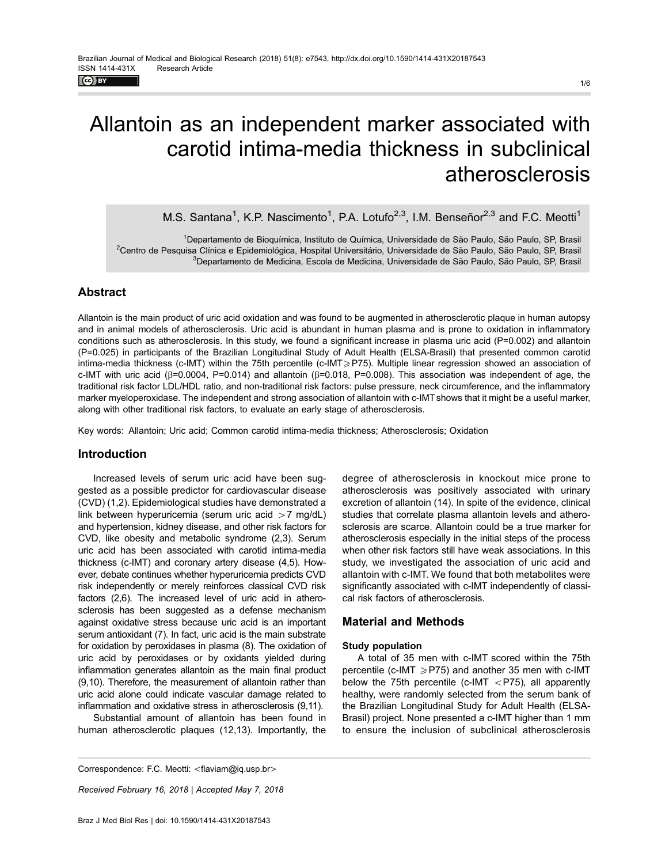$\left($ ce) EY

# Allantoin as an independent marker associated with carotid intima-media thickness in subclinical atherosclerosis

M.S. Santana<sup>1</sup>, K.P. Nascimento<sup>1</sup>, P.A. Lotufo<sup>2,3</sup>, I.M. Benseñor<sup>2,3</sup> and F.C. Meotti<sup>1</sup>

1 Departamento de Bioquímica, Instituto de Química, Universidade de São Paulo, São Paulo, SP, Brasil <sup>2</sup>Centro de Pesquisa Clínica e Epidemiológica, Hospital Universitário, Universidade de São Paulo, São Paulo, SP, Brasil <sup>3</sup>Departamento de Medicina, Escola de Medicina, Universidade de São Paulo, São Paulo, SP, Brasil

# Abstract

Allantoin is the main product of uric acid oxidation and was found to be augmented in atherosclerotic plaque in human autopsy and in animal models of atherosclerosis. Uric acid is abundant in human plasma and is prone to oxidation in inflammatory conditions such as atherosclerosis. In this study, we found a significant increase in plasma uric acid (P=0.002) and allantoin (P=0.025) in participants of the Brazilian Longitudinal Study of Adult Health (ELSA-Brasil) that presented common carotid intima-media thickness (c-IMT) within the 75th percentile (c-IMT>P75). Multiple linear regression showed an association of c-IMT with uric acid ( $\beta$ =0.0004, P=0.014) and allantoin ( $\beta$ =0.018, P=0.008). This association was independent of age, the traditional risk factor LDL/HDL ratio, and non-traditional risk factors: pulse pressure, neck circumference, and the inflammatory marker myeloperoxidase. The independent and strong association of allantoin with c-IMT shows that it might be a useful marker, along with other traditional risk factors, to evaluate an early stage of atherosclerosis.

Key words: Allantoin; Uric acid; Common carotid intima-media thickness; Atherosclerosis; Oxidation

## Introduction

Increased levels of serum uric acid have been suggested as a possible predictor for cardiovascular disease (CVD) (1,2). Epidemiological studies have demonstrated a link between hyperuricemia (serum uric acid  $>7$  mg/dL) and hypertension, kidney disease, and other risk factors for CVD, like obesity and metabolic syndrome (2,3). Serum uric acid has been associated with carotid intima-media thickness (c-IMT) and coronary artery disease (4,5). However, debate continues whether hyperuricemia predicts CVD risk independently or merely reinforces classical CVD risk factors (2,6). The increased level of uric acid in atherosclerosis has been suggested as a defense mechanism against oxidative stress because uric acid is an important serum antioxidant (7). In fact, uric acid is the main substrate for oxidation by peroxidases in plasma (8). The oxidation of uric acid by peroxidases or by oxidants yielded during inflammation generates allantoin as the main final product (9,10). Therefore, the measurement of allantoin rather than uric acid alone could indicate vascular damage related to inflammation and oxidative stress in atherosclerosis (9,11).

Substantial amount of allantoin has been found in human atherosclerotic plaques (12,13). Importantly, the degree of atherosclerosis in knockout mice prone to atherosclerosis was positively associated with urinary excretion of allantoin (14). In spite of the evidence, clinical studies that correlate plasma allantoin levels and atherosclerosis are scarce. Allantoin could be a true marker for atherosclerosis especially in the initial steps of the process when other risk factors still have weak associations. In this study, we investigated the association of uric acid and allantoin with c-IMT. We found that both metabolites were significantly associated with c-IMT independently of classical risk factors of atherosclerosis.

## Material and Methods

#### Study population

A total of 35 men with c-IMT scored within the 75th percentile (c-IMT  $\geq$ P75) and another 35 men with c-IMT below the 75th percentile (c-IMT  $\langle$ P75), all apparently healthy, were randomly selected from the serum bank of the Brazilian Longitudinal Study for Adult Health (ELSA-Brasil) project. None presented a c-IMT higher than 1 mm to ensure the inclusion of subclinical atherosclerosis

Correspondence: F.C. Meotti: <fl[aviam@iq.usp.br](mailto:flaviam@iq.usp.br)>

Received February 16, 2018 | Accepted May 7, 2018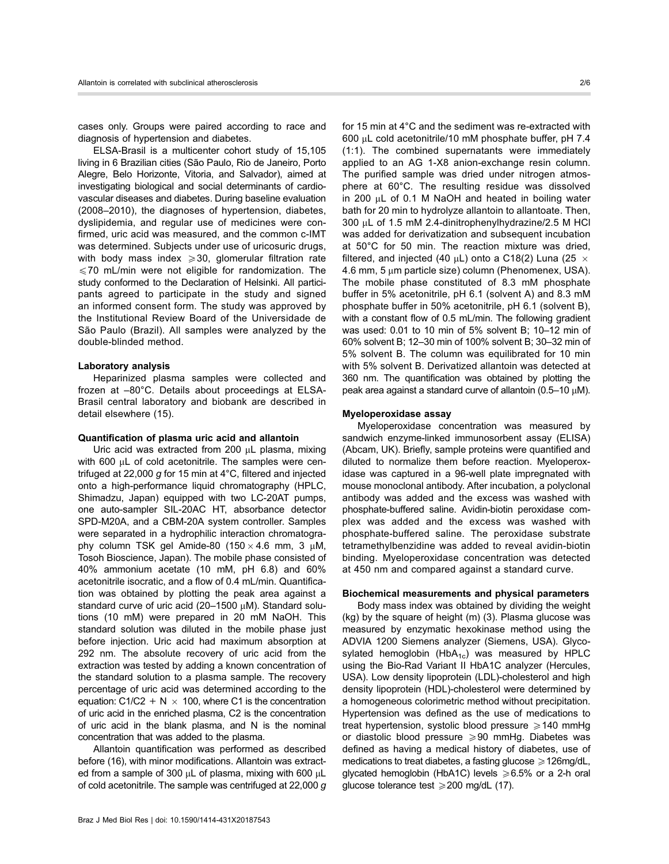cases only. Groups were paired according to race and diagnosis of hypertension and diabetes.

ELSA-Brasil is a multicenter cohort study of 15,105 living in 6 Brazilian cities (São Paulo, Rio de Janeiro, Porto Alegre, Belo Horizonte, Vitoria, and Salvador), aimed at investigating biological and social determinants of cardiovascular diseases and diabetes. During baseline evaluation (2008–2010), the diagnoses of hypertension, diabetes, dyslipidemia, and regular use of medicines were confirmed, uric acid was measured, and the common c-IMT was determined. Subjects under use of uricosuric drugs, with body mass index  $\geqslant$  30, glomerular filtration rate  $\leq$ 70 mL/min were not eligible for randomization. The study conformed to the Declaration of Helsinki. All participants agreed to participate in the study and signed an informed consent form. The study was approved by the Institutional Review Board of the Universidade de São Paulo (Brazil). All samples were analyzed by the double-blinded method.

#### Laboratory analysis

Heparinized plasma samples were collected and frozen at –80°C. Details about proceedings at ELSA-Brasil central laboratory and biobank are described in detail elsewhere (15).

#### Quantification of plasma uric acid and allantoin

Uric acid was extracted from 200  $\mu$ L plasma, mixing with 600 µL of cold acetonitrile. The samples were centrifuged at 22,000 g for 15 min at  $4^{\circ}$ C, filtered and injected onto a high-performance liquid chromatography (HPLC, Shimadzu, Japan) equipped with two LC-20AT pumps, one auto-sampler SIL-20AC HT, absorbance detector SPD-M20A, and a CBM-20A system controller. Samples were separated in a hydrophilic interaction chromatography column TSK gel Amide-80  $(150 \times 4.6$  mm, 3  $\mu$ M, Tosoh Bioscience, Japan). The mobile phase consisted of 40% ammonium acetate (10 mM, pH 6.8) and 60% acetonitrile isocratic, and a flow of 0.4 mL/min. Quantification was obtained by plotting the peak area against a standard curve of uric acid (20-1500  $\mu$ M). Standard solutions (10 mM) were prepared in 20 mM NaOH. This standard solution was diluted in the mobile phase just before injection. Uric acid had maximum absorption at 292 nm. The absolute recovery of uric acid from the extraction was tested by adding a known concentration of the standard solution to a plasma sample. The recovery percentage of uric acid was determined according to the equation: C1/C2 + N  $\times$  100, where C1 is the concentration of uric acid in the enriched plasma, C2 is the concentration of uric acid in the blank plasma, and N is the nominal concentration that was added to the plasma.

Allantoin quantification was performed as described before (16), with minor modifications. Allantoin was extracted from a sample of 300  $\mu$ L of plasma, mixing with 600  $\mu$ L of cold acetonitrile. The sample was centrifuged at 22,000 g

for 15 min at 4°C and the sediment was re-extracted with 600 mL cold acetonitrile/10 mM phosphate buffer, pH 7.4 (1:1). The combined supernatants were immediately applied to an AG 1-X8 anion-exchange resin column. The purified sample was dried under nitrogen atmosphere at 60°C. The resulting residue was dissolved in 200 mL of 0.1 M NaOH and heated in boiling water bath for 20 min to hydrolyze allantoin to allantoate. Then, 300 µL of 1.5 mM 2.4-dinitrophenylhydrazine/2.5 M HCl was added for derivatization and subsequent incubation at 50°C for 50 min. The reaction mixture was dried, filtered, and injected (40  $\mu$ L) onto a C18(2) Luna (25  $\times$  $4.6$  mm,  $5 \mu m$  particle size) column (Phenomenex, USA). The mobile phase constituted of 8.3 mM phosphate buffer in 5% acetonitrile, pH 6.1 (solvent A) and 8.3 mM phosphate buffer in 50% acetonitrile, pH 6.1 (solvent B), with a constant flow of 0.5 mL/min. The following gradient was used: 0.01 to 10 min of 5% solvent B; 10–12 min of 60% solvent B; 12–30 min of 100% solvent B; 30–32 min of 5% solvent B. The column was equilibrated for 10 min with 5% solvent B. Derivatized allantoin was detected at 360 nm. The quantification was obtained by plotting the peak area against a standard curve of allantoin  $(0.5-10 \mu M)$ .

#### Myeloperoxidase assay

Myeloperoxidase concentration was measured by sandwich enzyme-linked immunosorbent assay (ELISA) (Abcam, UK). Briefly, sample proteins were quantified and diluted to normalize them before reaction. Myeloperoxidase was captured in a 96-well plate impregnated with mouse monoclonal antibody. After incubation, a polyclonal antibody was added and the excess was washed with phosphate-buffered saline. Avidin-biotin peroxidase complex was added and the excess was washed with phosphate-buffered saline. The peroxidase substrate tetramethylbenzidine was added to reveal avidin-biotin binding. Myeloperoxidase concentration was detected at 450 nm and compared against a standard curve.

#### Biochemical measurements and physical parameters

Body mass index was obtained by dividing the weight (kg) by the square of height (m) (3). Plasma glucose was measured by enzymatic hexokinase method using the ADVIA 1200 Siemens analyzer (Siemens, USA). Glycosylated hemoglobin (Hb $A_{1c}$ ) was measured by HPLC using the Bio-Rad Variant II HbA1C analyzer (Hercules, USA). Low density lipoprotein (LDL)-cholesterol and high density lipoprotein (HDL)-cholesterol were determined by a homogeneous colorimetric method without precipitation. Hypertension was defined as the use of medications to treat hypertension, systolic blood pressure  $\geq 140$  mmHg or diastolic blood pressure  $\geqslant$  90 mmHg. Diabetes was defined as having a medical history of diabetes, use of medications to treat diabetes, a fasting glucose  $\geqslant$  126mg/dL, glycated hemoglobin (HbA1C) levels  $\geq 6.5\%$  or a 2-h oral glucose tolerance test  $\geq 200$  mg/dL (17).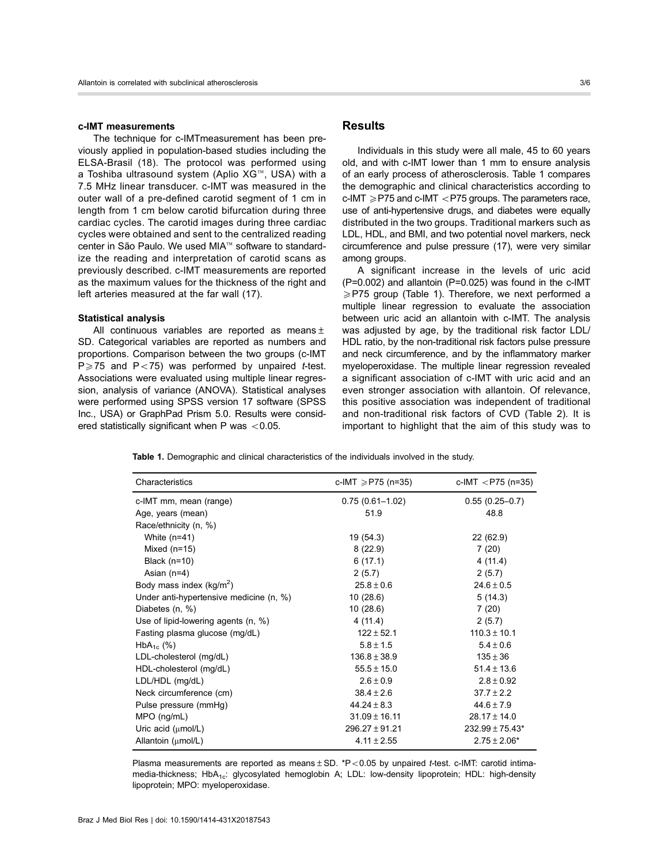#### c-IMT measurements

The technique for c-IMTmeasurement has been previously applied in population-based studies including the ELSA-Brasil (18). The protocol was performed using a Toshiba ultrasound system (Aplio  $XG^{M}$ , USA) with a 7.5 MHz linear transducer. c-IMT was measured in the outer wall of a pre-defined carotid segment of 1 cm in length from 1 cm below carotid bifurcation during three cardiac cycles. The carotid images during three cardiac cycles were obtained and sent to the centralized reading center in São Paulo. We used MIA™ software to standardize the reading and interpretation of carotid scans as previously described. c-IMT measurements are reported as the maximum values for the thickness of the right and left arteries measured at the far wall (17).

#### Statistical analysis

All continuous variables are reported as means $\pm$ SD. Categorical variables are reported as numbers and proportions. Comparison between the two groups (c-IMT  $P \ge 75$  and  $P < 75$ ) was performed by unpaired t-test. Associations were evaluated using multiple linear regression, analysis of variance (ANOVA). Statistical analyses were performed using SPSS version 17 software (SPSS Inc., USA) or GraphPad Prism 5.0. Results were considered statistically significant when P was  $< 0.05$ .

# **Results**

Individuals in this study were all male, 45 to 60 years old, and with c-IMT lower than 1 mm to ensure analysis of an early process of atherosclerosis. Table 1 compares the demographic and clinical characteristics according to  $c$ -IMT  $\geq$  P75 and  $c$ -IMT  $\leq$  P75 groups. The parameters race, use of anti-hypertensive drugs, and diabetes were equally distributed in the two groups. Traditional markers such as LDL, HDL, and BMI, and two potential novel markers, neck circumference and pulse pressure (17), were very similar among groups.

A significant increase in the levels of uric acid  $(P=0.002)$  and allantoin  $(P=0.025)$  was found in the c-IMT  $\geq$ P75 group (Table 1). Therefore, we next performed a multiple linear regression to evaluate the association between uric acid an allantoin with c-IMT. The analysis was adjusted by age, by the traditional risk factor LDL/ HDL ratio, by the non-traditional risk factors pulse pressure and neck circumference, and by the inflammatory marker myeloperoxidase. The multiple linear regression revealed a significant association of c-IMT with uric acid and an even stronger association with allantoin. Of relevance, this positive association was independent of traditional and non-traditional risk factors of CVD (Table 2). It is important to highlight that the aim of this study was to

Table 1. Demographic and clinical characteristics of the individuals involved in the study.

| Characteristics                         | c-IMT $\geq$ P75 (n=35) | c-IMT $\langle$ P75 (n=35) |
|-----------------------------------------|-------------------------|----------------------------|
| c-IMT mm, mean (range)                  | $0.75(0.61 - 1.02)$     | $0.55(0.25-0.7)$           |
| Age, years (mean)                       | 51.9                    | 48.8                       |
| Race/ethnicity (n, %)                   |                         |                            |
| White $(n=41)$                          | 19 (54.3)               | 22 (62.9)                  |
| Mixed $(n=15)$                          | 8(22.9)                 | 7(20)                      |
| Black $(n=10)$                          | 6(17.1)                 | 4(11.4)                    |
| Asian $(n=4)$                           | 2(5.7)                  | 2(5.7)                     |
| Body mass index $(kg/m^2)$              | $25.8 \pm 0.6$          | $24.6 \pm 0.5$             |
| Under anti-hypertensive medicine (n, %) | 10(28.6)                | 5(14.3)                    |
| Diabetes (n, %)                         | 10(28.6)                | 7(20)                      |
| Use of lipid-lowering agents $(n, %)$   | 4(11.4)                 | 2(5.7)                     |
| Fasting plasma glucose (mg/dL)          | $122 \pm 52.1$          | $110.3 \pm 10.1$           |
| $HbA_{1c}$ (%)                          | $5.8 \pm 1.5$           | $5.4 \pm 0.6$              |
| LDL-cholesterol (mg/dL)                 | $136.8 \pm 38.9$        | $135 \pm 36$               |
| HDL-cholesterol (mg/dL)                 | $55.5 \pm 15.0$         | $51.4 \pm 13.6$            |
| LDL/HDL (mg/dL)                         | $2.6 \pm 0.9$           | $2.8 \pm 0.92$             |
| Neck circumference (cm)                 | $38.4 \pm 2.6$          | $37.7 \pm 2.2$             |
| Pulse pressure (mmHg)                   | $44.24 \pm 8.3$         | $44.6 \pm 7.9$             |
| $MPO$ (ng/mL)                           | $31.09 \pm 16.11$       | $28.17 \pm 14.0$           |
| Uric acid $(\mu \text{mol/L})$          | $296.27 \pm 91.21$      | $232.99 \pm 75.43*$        |
| Allantoin (umol/L)                      | $4.11 \pm 2.55$         | $2.75 \pm 2.06*$           |

Plasma measurements are reported as means  $\pm$  SD. \*P<0.05 by unpaired t-test. c-IMT: carotid intimamedia-thickness; HbA<sub>1c</sub>: glycosylated hemoglobin A; LDL: low-density lipoprotein; HDL: high-density lipoprotein; MPO: myeloperoxidase.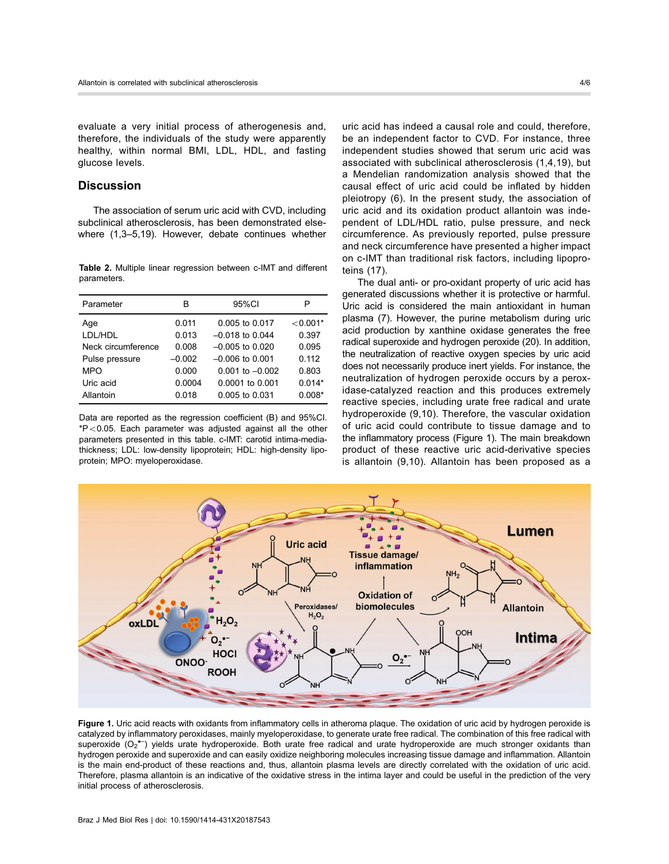evaluate a very initial process of atherogenesis and, therefore, the individuals of the study were apparently healthy, within normal BMI, LDL, HDL, and fasting glucose levels.

# **Discussion**

The association of serum uric acid with CVD, including subclinical atherosclerosis, has been demonstrated elsewhere (1,3–5,19). However, debate continues whether

Table 2. Multiple linear regression between c-IMT and different parameters.

| Parameter          | в        | 95%CI               | Р          |
|--------------------|----------|---------------------|------------|
| Age                | 0.011    | 0.005 to 0.017      | $< 0.001*$ |
| LDL/HDL            | 0.013    | $-0.018$ to 0.044   | 0.397      |
| Neck circumference | 0.008    | $-0.005$ to 0.020   | 0.095      |
| Pulse pressure     | $-0.002$ | $-0.006$ to 0.001   | 0.112      |
| <b>MPO</b>         | 0.000    | $0.001$ to $-0.002$ | 0.803      |
| Uric acid          | 0.0004   | $0.0001$ to $0.001$ | $0.014*$   |
| Allantoin          | 0.018    | 0.005 to 0.031      | $0.008*$   |

Data are reported as the regression coefficient (B) and 95%CI.  $*P<0.05$ . Each parameter was adjusted against all the other parameters presented in this table. c-IMT: carotid intima-mediathickness; LDL: low-density lipoprotein; HDL: high-density lipoprotein; MPO: myeloperoxidase.

uric acid has indeed a causal role and could, therefore, be an independent factor to CVD. For instance, three independent studies showed that serum uric acid was associated with subclinical atherosclerosis (1,4,19), but a Mendelian randomization analysis showed that the causal effect of uric acid could be inflated by hidden pleiotropy (6). In the present study, the association of uric acid and its oxidation product allantoin was independent of LDL/HDL ratio, pulse pressure, and neck circumference. As previously reported, pulse pressure and neck circumference have presented a higher impact on c-IMT than traditional risk factors, including lipoproteins (17).

The dual anti- or pro-oxidant property of uric acid has generated discussions whether it is protective or harmful. Uric acid is considered the main antioxidant in human plasma (7). However, the purine metabolism during uric acid production by xanthine oxidase generates the free radical superoxide and hydrogen peroxide (20). In addition, the neutralization of reactive oxygen species by uric acid does not necessarily produce inert yields. For instance, the neutralization of hydrogen peroxide occurs by a peroxidase-catalyzed reaction and this produces extremely reactive species, including urate free radical and urate hydroperoxide (9,10). Therefore, the vascular oxidation of uric acid could contribute to tissue damage and to the inflammatory process (Figure 1). The main breakdown product of these reactive uric acid-derivative species is allantoin (9,10). Allantoin has been proposed as a



Figure 1. Uric acid reacts with oxidants from inflammatory cells in atheroma plaque. The oxidation of uric acid by hydrogen peroxide is catalyzed by inflammatory peroxidases, mainly myeloperoxidase, to generate urate free radical. The combination of this free radical with superoxide (O<sub>2</sub><sup>•–</sup>) yields urate hydroperoxide. Both urate free radical and urate hydroperoxide are much stronger oxidants than hydrogen peroxide and superoxide and can easily oxidize neighboring molecules increasing tissue damage and inflammation. Allantoin is the main end-product of these reactions and, thus, allantoin plasma levels are directly correlated with the oxidation of uric acid. Therefore, plasma allantoin is an indicative of the oxidative stress in the intima layer and could be useful in the prediction of the very initial process of atherosclerosis.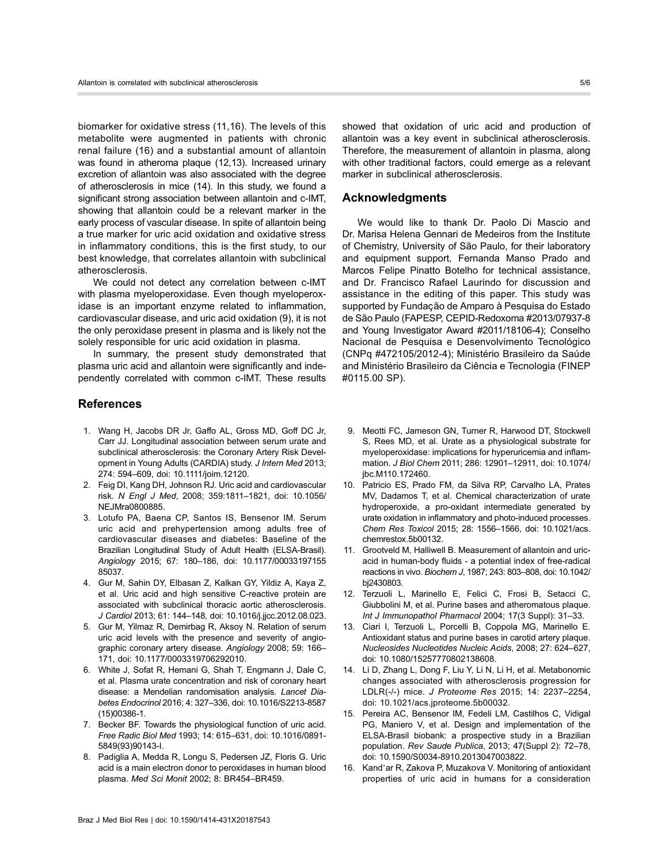biomarker for oxidative stress (11,16). The levels of this metabolite were augmented in patients with chronic renal failure (16) and a substantial amount of allantoin was found in atheroma plaque (12,13). Increased urinary excretion of allantoin was also associated with the degree of atherosclerosis in mice (14). In this study, we found a significant strong association between allantoin and c-IMT, showing that allantoin could be a relevant marker in the early process of vascular disease. In spite of allantoin being a true marker for uric acid oxidation and oxidative stress in inflammatory conditions, this is the first study, to our best knowledge, that correlates allantoin with subclinical atherosclerosis.

We could not detect any correlation between c-IMT with plasma myeloperoxidase. Even though myeloperoxidase is an important enzyme related to inflammation, cardiovascular disease, and uric acid oxidation (9), it is not the only peroxidase present in plasma and is likely not the solely responsible for uric acid oxidation in plasma.

In summary, the present study demonstrated that plasma uric acid and allantoin were significantly and independently correlated with common c-IMT. These results

## **References**

- 1. Wang H, Jacobs DR Jr, Gaffo AL, Gross MD, Goff DC Jr, Carr JJ. Longitudinal association between serum urate and subclinical atherosclerosis: the Coronary Artery Risk Development in Young Adults (CARDIA) study. J Intern Med 2013; 274: 594–609, doi: [10.1111/joim.12120](http://dx.doi.org/10.1111/joim.12120).
- 2. Feig DI, Kang DH, Johnson RJ. Uric acid and cardiovascular risk. N Engl J Med, 2008; 359:1811–1821, doi: [10.1056/](http://dx.doi.org/10.1056/NEJMra0800885) [NEJMra0800885](http://dx.doi.org/10.1056/NEJMra0800885).
- 3. Lotufo PA, Baena CP, Santos IS, Bensenor IM. Serum uric acid and prehypertension among adults free of cardiovascular diseases and diabetes: Baseline of the Brazilian Longitudinal Study of Adult Health (ELSA-Brasil). Angiology 2015; 67: 180–186, doi: [10.1177/00033197155](http://dx.doi.org/10.1177/0003319715585037) [85037](http://dx.doi.org/10.1177/0003319715585037).
- 4. Gur M, Sahin DY, Elbasan Z, Kalkan GY, Yildiz A, Kaya Z, et al. Uric acid and high sensitive C-reactive protein are associated with subclinical thoracic aortic atherosclerosis. J Cardiol 2013; 61: 144–148, doi: [10.1016/j.jjcc.2012.08.023.](http://dx.doi.org/10.1016/j.jjcc.2012.08.023)
- 5. Gur M, Yilmaz R, Demirbag R, Aksoy N. Relation of serum uric acid levels with the presence and severity of angiographic coronary artery disease. Angiology 2008; 59: 166– 171, doi: [10.1177/0003319706292010](http://dx.doi.org/10.1177/0003319706292010).
- 6. White J, Sofat R, Hemani G, Shah T, Engmann J, Dale C, et al. Plasma urate concentration and risk of coronary heart disease: a Mendelian randomisation analysis. Lancet Diabetes Endocrinol 2016; 4: 327–336, doi: [10.1016/S2213-8587](http://dx.doi.org/10.1016/S2213-8587(15)00386-1) [\(15\)00386-1.](http://dx.doi.org/10.1016/S2213-8587(15)00386-1)
- 7. Becker BF. Towards the physiological function of uric acid. Free Radic Biol Med 1993; 14: 615–631, doi: [10.1016/0891-](http://dx.doi.org/10.1016/0891-5849(93)90143-I) [5849\(93\)90143-I](http://dx.doi.org/10.1016/0891-5849(93)90143-I).
- 8. Padiglia A, Medda R, Longu S, Pedersen JZ, Floris G. Uric acid is a main electron donor to peroxidases in human blood plasma. Med Sci Monit 2002; 8: BR454–BR459.

showed that oxidation of uric acid and production of allantoin was a key event in subclinical atherosclerosis. Therefore, the measurement of allantoin in plasma, along with other traditional factors, could emerge as a relevant marker in subclinical atherosclerosis.

### Acknowledgments

We would like to thank Dr. Paolo Di Mascio and Dr. Marisa Helena Gennari de Medeiros from the Institute of Chemistry, University of São Paulo, for their laboratory and equipment support, Fernanda Manso Prado and Marcos Felipe Pinatto Botelho for technical assistance, and Dr. Francisco Rafael Laurindo for discussion and assistance in the editing of this paper. This study was supported by Fundação de Amparo à Pesquisa do Estado de São Paulo (FAPESP, CEPID-Redoxoma #2013/07937-8 and Young Investigator Award #2011/18106-4); Conselho Nacional de Pesquisa e Desenvolvimento Tecnológico (CNPq #472105/2012-4); Ministério Brasileiro da Saúde and Ministério Brasileiro da Ciência e Tecnologia (FINEP #0115.00 SP).

- 9. Meotti FC, Jameson GN, Turner R, Harwood DT, Stockwell S, Rees MD, et al. Urate as a physiological substrate for myeloperoxidase: implications for hyperuricemia and inflammation. J Biol Chem 2011; 286: 12901–12911, doi: [10.1074/](http://dx.doi.org/10.1074/jbc.M110.172460) [jbc.M110.172460.](http://dx.doi.org/10.1074/jbc.M110.172460)
- 10. Patricio ES, Prado FM, da Silva RP, Carvalho LA, Prates MV, Dadamos T, et al. Chemical characterization of urate hydroperoxide, a pro-oxidant intermediate generated by urate oxidation in inflammatory and photo-induced processes. Chem Res Toxicol 2015; 28: 1556–1566, doi: [10.1021/acs.](http://dx.doi.org/10.1021/acs.chemrestox.5b00132) [chemrestox.5b00132.](http://dx.doi.org/10.1021/acs.chemrestox.5b00132)
- 11. Grootveld M, Halliwell B. Measurement of allantoin and uricacid in human-body fluids - a potential index of free-radical reactions in vivo. Biochem J, 1987; 243: 803–808, doi: [10.1042/](http://dx.doi.org/10.1042/bj2430803) [bj2430803](http://dx.doi.org/10.1042/bj2430803).
- 12. Terzuoli L, Marinello E, Felici C, Frosi B, Setacci C, Giubbolini M, et al. Purine bases and atheromatous plaque. Int J Immunopathol Pharmacol 2004; 17(3 Suppl): 31-33.
- 13. Ciari I, Terzuoli L, Porcelli B, Coppola MG, Marinello E. Antioxidant status and purine bases in carotid artery plaque. Nucleosides Nucleotides Nucleic Acids, 2008; 27: 624–627, doi: [10.1080/15257770802138608.](http://dx.doi.org/10.1080/15257770802138608)
- 14. Li D, Zhang L, Dong F, Liu Y, Li N, Li H, et al. Metabonomic changes associated with atherosclerosis progression for LDLR(-/-) mice. J Proteome Res 2015; 14: 2237–2254, doi: [10.1021/acs.jproteome.5b00032.](http://dx.doi.org/10.1021/acs.jproteome.5b00032)
- 15. Pereira AC, Bensenor IM, Fedeli LM, Castilhos C, Vidigal PG, Maniero V, et al. Design and implementation of the ELSA-Brasil biobank: a prospective study in a Brazilian population. Rev Saude Publica, 2013; 47(Suppl 2): 72–78, doi: [10.1590/S0034-8910.2013047003822](http://dx.doi.org/10.1590/S0034-8910.2013047003822).
- 16. Kand'ar R, Zakova P, Muzakova V. Monitoring of antioxidant properties of uric acid in humans for a consideration